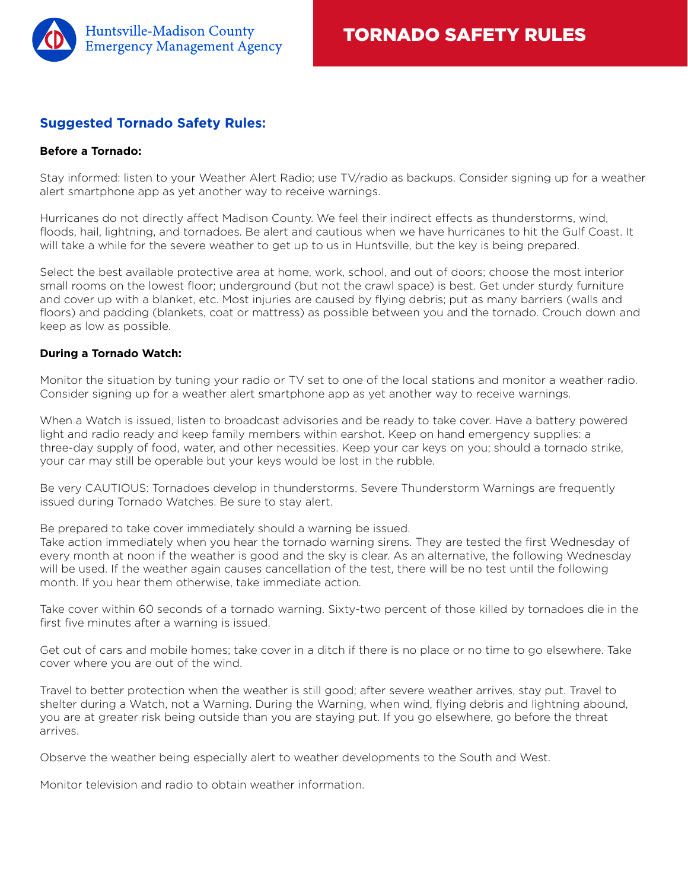

# **Suggested Tornado Safety Rules:**

### **Before a Tornado:**

Stay informed: listen to your Weather Alert Radio; use TV/radio as backups. Consider signing up for a weather alert smartphone app as yet another way to receive warnings.

Hurricanes do not directly affect Madison County. We feel their indirect effects as thunderstorms, wind, floods, hail, lightning, and tornadoes. Be alert and cautious when we have hurricanes to hit the Gulf Coast. It will take a while for the severe weather to get up to us in Huntsville, but the key is being prepared.

Select the best available protective area at home, work, school, and out of doors; choose the most interior small rooms on the lowest floor; underground (but not the crawl space) is best. Get under sturdy furniture and cover up with a blanket, etc. Most injuries are caused by flying debris; put as many barriers (walls and floors) and padding (blankets, coat or mattress) as possible between you and the tornado. Crouch down and keep as low as possible.

### **During a Tornado Watch:**

Monitor the situation by tuning your radio or TV set to one of the local stations and monitor a weather radio. Consider signing up for a weather alert smartphone app as yet another way to receive warnings.

When a Watch is issued, listen to broadcast advisories and be ready to take cover. Have a battery powered light and radio ready and keep family members within earshot. Keep on hand emergency supplies: a three-day supply of food, water, and other necessities. Keep your car keys on you; should a tornado strike, your car may still be operable but your keys would be lost in the rubble.

Be very CAUTIOUS: Tornadoes develop in thunderstorms. Severe Thunderstorm Warnings are frequently issued during Tornado Watches. Be sure to stay alert.

Be prepared to take cover immediately should a warning be issued.

Take action immediately when you hear the tornado warning sirens. They are tested the first Wednesday of every month at noon if the weather is good and the sky is clear. As an alternative, the following Wednesday will be used. If the weather again causes cancellation of the test, there will be no test until the following month. If you hear them otherwise, take immediate action.

Take cover within 60 seconds of a tornado warning. Sixty-two percent of those killed by tornadoes die in the first five minutes after a warning is issued.

Get out of cars and mobile homes; take cover in a ditch if there is no place or no time to go elsewhere. Take cover where you are out of the wind.

Travel to better protection when the weather is still good; after severe weather arrives, stay put. Travel to shelter during a Watch, not a Warning. During the Warning, when wind, flying debris and lightning abound, you are at greater risk being outside than you are staying put. If you go elsewhere, go before the threat arrives.

Observe the weather being especially alert to weather developments to the South and West.

Monitor television and radio to obtain weather information.